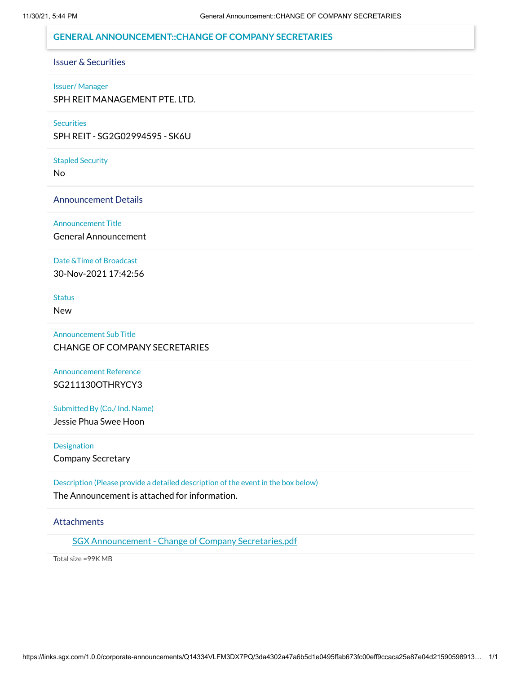# **GENERAL ANNOUNCEMENT::CHANGE OF COMPANY SECRETARIES**

# Issuer & Securities

#### Issuer/ Manager

SPH REIT MANAGEMENT PTE. LTD.

#### **Securities**

SPH REIT - SG2G02994595 - SK6U

#### Stapled Security

No

#### Announcement Details

Announcement Title

General Announcement

#### Date &Time of Broadcast

30-Nov-2021 17:42:56

**Status** 

New

Announcement Sub Title CHANGE OF COMPANY SECRETARIES

Announcement Reference SG211130OTHRYCY3

Submitted By (Co./ Ind. Name)

Jessie Phua Swee Hoon

Designation

Company Secretary

Description (Please provide a detailed description of the event in the box below)

The Announcement is attached for information.

### **Attachments**

SGX [Announcement -](https://links.sgx.com/1.0.0/corporate-announcements/Q14334VLFM3DX7PQ/692647_SGX%20Announcement%20-%20Change%20of%20Company%20Secretaries.pdf) Change of Company Secretaries.pdf

Total size =99K MB